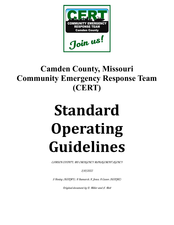

## **Camden County, Missouri Community Emergency Response Team (CERT)**

# **Standard Operating Guidelines**

CAMDEN COUNTY, MO EMERGENCY MANAGEMENT AGENCY

3/10/2022

S Henley (KE0LMY), R Bumarch, R Jones, R Cason (KE0LMZ)

Original document by D. Miller and A. Mott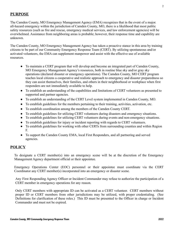#### **PURPOSE**

The Camden County, MO Emergency Management Agency (EMA) recognizes that in the event of a major. all-hazard emergency within the jurisdiction of Camden County, MO, there is a likelihood that most public safety resources (such as fire and rescue, emergency medical services, and law enforcement agencies) will be overwhelmed. Assistance from neighboring areas is probable; however, their response time and capability are unknown.

The Camden County, MO Emergency Management Agency has taken a proactive stance in this area by training citizens to be part of our Community Emergency Response Team (CERT). By utilizing spontaneous and/or activated volunteers, the EMA can supplement manpower and assist with the effective use of available resources.

- To maintain a CERT program that will develop and become an integrated part of Camden County, MO Emergency Management Agency's resources, both in routine blue sky and/or gray sky operations (declared disaster or emergency operations). The Camden County, MO CERT program teaches local citizens a cooperative and realistic approach to emergency and disaster preparedness so they can assist themselves, their families, and others in their neighborhood or workplace when first responders are not immediately available to help.
- To establish an understanding of the capabilities and limitations of CERT volunteers as presented to supported and partner agencies.
- To establish an understanding of the CERT Level system implemented in Camden County, MO.
- To establish guidelines for the members pertaining to their training, activities, activation, etc.
- To establish coordination among the members of the Camden County CERT.
- To establish guidelines for utilizing CERT volunteers during disasters and emergency situations.
- To establish guidelines for utilizing CERT volunteers during events and non-emergency situations.
- To establish guidelines for injury or incident reporting with regards to CERT volunteers.
- To establish guidelines for working with other CERTs from surrounding counties and within Region F.
- To support the Camden County EMA, local First Responders, and all partnering and served agencies.

#### **POLICY**

To designate a CERT member(s) into an emergency scene will be at the discretion of the Emergency Management Agency department official or their appointee.

Emergency Operations Center (EOC) personnel or their appointee must coordinate via the CERT Coordinator any CERT member(s) incorporated into an emergency or disaster scene.

Any First Responding Agency Officer or Incident Commander may refuse to authorize the participation of a CERT member in emergency operations for any reason.

Only CERT members with appropriate ID can be activated as a CERT volunteer. CERT members without proper ID or CERT members from other jurisdictions may be utilized, with proper credentialing. (See Definitions for clarification of these roles.) This ID must be presented to the Officer in charge or Incident Commander and must not be expired.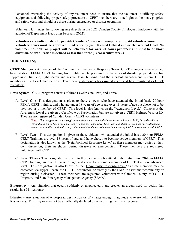Personnel overseeing the activity of any volunteer need to ensure that the volunteer is utilizing safety equipment and following proper safety procedures. CERT members are issued gloves, helmets, goggles, and safety vests and should use these during emergency or disaster operations

Volunteers fall under the following rule directly in the 2022 Camden County Employee Handbook (with the addition of Department Head after February 2022):

**Volunteers are individuals who provide Camden County with temporary unpaid volunteer hours. Volunteer hours must be approved in advance by your Elected Official and/or Department Head. No volunteer positions or project will be scheduled for over 20 hours per week and must be of short duration. Short duration is defined as less than three (3) consecutive weeks.**

#### **DEFINITIONS**

**CERT Member** - A member of the Community Emergency Response Team. CERT members have received basic 20-hour FEMA CERT training from public safety personnel in the areas of disaster preparedness, fire suppression, first aid, light search and rescue, team building, and the incident management system. CERT members at the Level Two or Level Three have undergone a background check and have registered as CERT volunteers.

**Level System** - CERT program consists of three Levels: One, Two, and Three.

A. **Level One-** This designation is given to those citizens who have attended the initial basic 20-hour FEMA CERT training, and who are under 18 years of age or are over 18 years of age but chose not to be involved as a member of CERT. This level is also known as the "Awareness Level." Citizens at the Awareness Level are given a Certificate of Participation but are not given a CERT Helmet, Vest, or ID. They are not registered Camden County CERT volunteers.

> Note: This designation was also given to citizens who attended classes prior to January 2005, but either did not respond to the new Level System or did respond but chose Level One. Those that did not respond may still have a helmet, vest, and/or outdated ID tag. These individuals are not current members of CERT or volunteers with CERT.

- B. **Level Two -** This designation is given to those citizens who attended the initial basic 20-hour FEMA CERT Training, are over 18 years of age, and have chosen to become active members of CERT. This designation is also known as the "Neighborhood Response Level" as these members may assist, at their own discretion, their neighbors during disasters or emergencies. These members are registered volunteers with CERT.
- C. **Level Three -** This designation is given to those citizens who attended the initial basic 20-hour FEMA CERT training, are over 18 years of age, and chose to become a member of CERT at a more advanced level. This designation is also known as the "Community Response Level" as these members may be contacted via Hyper Reach, the CERT Coordinator, or directly by the EMA to assist their community or region during a disaster. These members are registered volunteers with Camden County, MO CERT Program, and State Emergency Management Agency (SEMA).

**Emergency -** Any situation that occurs suddenly or unexpectedly and creates an urgent need for action that results in a 911 response.

**Disaster -** Any situation of widespread destruction or of a large enough magnitude to overwhelm local First Responders. This may or may not be an officially declared disaster during the initial response.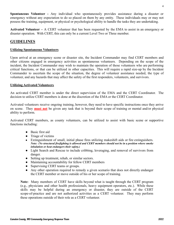**Spontaneous Volunteer -** Any individual who spontaneously provides assistance during a disaster or emergency without any expectation to do so placed on them by any entity. These individuals may or may not possess the training, equipment, or physical or psychological ability to handle the tasks they are undertaking.

**Activated Volunteer –** A CERT volunteer that has been requested by the EMA to assist in an emergency or disaster operation. With CERT, this can only be a current Level Two or Three member.

#### **GUIDELINES**

#### **Utilizing Spontaneous Volunteers**

Upon arrival at an emergency scene or disaster site, the Incident Commander may find CERT members and other citizens engaged in emergency activities as spontaneous volunteers. Depending on the scope of the incident, the Incident Commander may wish to maintain the operation of those volunteers who are performing critical functions, or that can be utilized in other capacities. This will require a rapid size-up by the Incident Commander to ascertain the scope of the situation, the degree of volunteer assistance needed, the type of volunteer, and any hazards that may affect the safety of the first responders, volunteers, and survivors.

#### **Utilizing Activated Volunteers**

An activated CERT member is under the direct supervision of the EMA and the CERT Coordinator. The decision to utilize CERT members is done at the discretion of the EMA or the CERT Coordinator.

Activated volunteers receive ongoing training, however, they need to have specific instructions once they arrive on scene. They **must not** be given any task that is beyond their scope of training or mental and/or physical ability to perform.

Activated CERT members, as county volunteers, can be utilized to assist with basic scene or supportive functions including:

- Basic first aid
- Triage of victims
- Extinguishment of small, initial phase fires utilizing makeshift aids or fire extinguishers. Note: (No structural firefighting is allowed and CERT members should not be in a position where smoke *inhalation or heat endangers their safety.)*
- Light Search and Rescue to include cribbing, leveraging, and removal of survivors from danger.
- Setting up treatment, rehab, or similar sectors.
- Maintaining accountability for fellow CERT members
- Supervising CERT teams or groups.
- Any other operation required to remedy a given scenario that does not directly endanger the CERT member or move outside of his or her scope of training.

**Note:** Many members of CERT have skills beyond what is taught through the CERT program (e.g., physicians and other health professionals, heavy equipment operators, etc.). While these skills may be helpful during an emergency or disaster, they are outside of the CERT scope-of-practice and are not authorized activities as a CERT volunteer. They may perform these operations outside of their role as a CERT volunteer.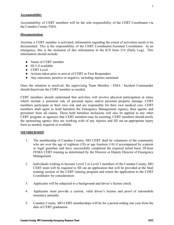#### **Accountability**

Accountability of CERT members will be the sole responsibility of the CERT Coordinator via the Camden County EMA.

#### **Documentation**

Anytime a CERT member is activated, information regarding the extent of activation needs to be documented. This is the responsibility of the CERT Coordinator/Assistant Coordinator. In an emergency, this is the inclusion of this information in the ICS form 214 (Daily Log). This information should include:

- Name of CERT member
- $\bullet$  ID # if available
- CERT Level
- Actions taken prior to arrival of CERT or First Responders
- Any outcomes, positive or negative, including injuries sustained

Once the situation is resolved, the supervising Team Member / EMA / Incident Commander should deactivate the CERT member as needed.

CERT members should understand that activities will involve physical participation at times which include a potential risk of personal injury and/or personal property damage. CERT members participate at their own risk and are responsible for their own medical care. CERT members shall agree to hold harmless the Emergency Management Agency, their agents, and personnel from all claims. These hold harmless inclusions will also be applied to any other CERT program or agencies that CERT members may be assisting. CERT members should notify the sponsoring agency they are working with of any injuries and fill out an appropriate injury form as needed, required or available.

#### **MEMBERSHIP**

- 1. The membership of Camden County, MO CERT shall be volunteers of the community who are over the age of eighteen (18) or age fourteen (14) if accompanied by a parent or legal guardian and have successfully completed the required initial basic 20-hour FEMA CERT training as determined by the Director or Deputy Director of Emergency Management.
- 2. Individuals wishing to become Level 2 or Level 3 members of the Camden County, MO CERT team will be required to fill out an application that will be provided at the final training session of the CERT training program and return the application to the CERT Coordinator for consideration.
- 3. Applicants will be subjected to a background and driver's license check.
- 4. Applicants must provide a current, valid driver's license and proof of automobile insurance annually.
- 5. Camden County, MO CERT memberships will be for a period ending one year from the date of CERT graduation.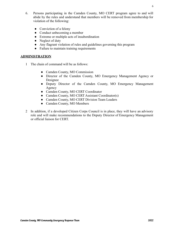- 6. Persons participating in the Camden County, MO CERT program agree to and will abide by the rules and understand that members will be removed from membership for violation of the following:
	- Conviction of a felony
	- Conduct unbecoming a member
	- Extreme or multiple acts of insubordination
	- Neglect of duty
	- Any flagrant violation of rules and guidelines governing this program
	- Failure to maintain training requirements

#### **ADMINISTRATION**

- 1 The chain of command will be as follows:
	- Camden County, MO Commission
	- Director of the Camden County, MO Emergency Management Agency or Designee
	- Deputy Director of the Camden County, MO Emergency Management Agency
	- Camden County, MO CERT Coordinator
	- Camden County, MO CERT Assistant Coordinator(s)
	- Camden County, MO CERT Division Team Leaders
	- Camden County, MO Members
- 2 In addition, if a developed Citizen Corps Council is in place, they will have an advisory role and will make recommendations to the Deputy Director of Emergency Management or official liaison for CERT.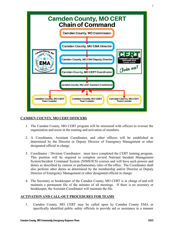

#### **CAMDEN COUNTY, MO CERT OFFICERS**

- 1. The Camden County, MO CERT program will be structured with officers to oversee the organization and assist in the training and activation of members.
- 2. A Coordinator, Assistant Coordinator, and other officers will be established as determined by the Director or Deputy Director of Emergency Management or other designated official in charge.
- 3. Coordinator / Division Coordinator: must have completed the CERT training program. This position will be required to complete several National Incident Management System/Incident Command System (NIMS/ICS) courses and will have such powers and duties as described by custom or parliamentary rules of the office. The Coordinator shall also perform other duties as determined by the membership and/or Director or Deputy Director of Emergency Management or other designated official in charge.
- 4. The Secretary or bookkeeper of the Camden County, MO CERT is in charge of and will maintain a permanent file of the minutes of all meetings. If there is no secretary or bookkeeper, the Assistant Coordinator will maintain the file.

#### **ACTIVATION AND CALL-OUT PROCEDURES FOR TEAMS**

1. Camden County, MO CERT may be called upon by Camden County EMA or specifically identified public safety officials to provide aid or assistance in a manner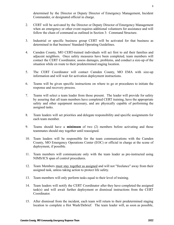determined by the Director or Deputy Director of Emergency Management, Incident Commander, or designated official in charge.

- 2. CERT will be activated by the Director or Deputy Director of Emergency Management when an emergency or other event requires additional volunteers for assistance and will follow the chain of command as outlined in Section 3: Command Structure.
- 3. Industrial or specific business group CERT will be activated for that business as determined in that business' Standard Operating Guidelines.
- 4. Camden County, MO CERT-trained individuals will act first to aid their families and adjacent neighbors. Once safety measures have been completed, team members will contact the CERT Coordinator, assess damages, problems, and conduct a size-up of the situation while en route to their predetermined staging location.
- 5. The CERT Coordinator will contact Camden County, MO EMA with size-up information and will wait for activation deployment instructions.
- 6. Teams will be given specific instructions on where to go or procedures to initiate the response and recovery process.
- 7. Teams will select a team leader from those present. The leader will provide for safety by assuring that all team members have completed CERT training, have the appropriate safety and other equipment necessary, and are physically capable of performing the assigned tasks.
- 8. Team leaders will set priorities and delegate responsibility and specific assignments for each team member.
- 9. Teams should have a **minimum** of two (2) members before activating and those teammates should stay together until reassigned.
- 10. Team leaders will be responsible for the team communications with the Camden County, MO Emergency Operations Center (EOC) or official in charge at the scene of deployment, if possible.
- 11. Team members will communicate only with the team leader as pre-instructed using NIMS/ICS span of control procedures.
- 12. Team Members must stay together as assigned and will not "freelance" away from their assigned task, unless taking action to protect life safety.
- 13. Team members will only perform tasks equal to their level of training.
- 14. Team leaders will notify the CERT Coordinator after they have completed the assigned task(s) and will await further deployment or dismissal instructions from the CERT Coordinator.
- 15. After dismissal from the incident, each team will return to their predetermined staging location to complete a Hot Wash/Debrief. The team leader will, as soon as possible,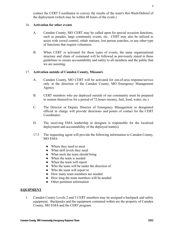contact the CERT Coordinator to convey the results of the team's Hot Wash/Debrief of the deployment (which may be within 48 hours of the event.)

#### 16. **Activation for other events**

- A. Camden County, MO CERT may be called upon for special occasion functions, such as parades, large community events, etc. CERT may also be utilized to assist with crowd control, rehab stations, lost person searches, or any other type of functions that require volunteers.
- B. When CERT is activated for these types of events, the same organizational structure and chain of command will be followed as previously stated in these guidelines to ensure accountability and safety to all members and the public that we are assisting.

#### 17. **Activation outside of Camden County, Missouri.**

- A. Camden County, MO CERT will be activated for out-of-area response/service only at the direction of the Camden County, MO Emergency Management Agency.
- B. CERT members who are deployed outside of our community must be prepared to sustain themselves for a period of 72-hours (money, fuel, food, water, etc.)
- C. The Director or Deputy Director of Emergency Management or designated official in charge will provide directions and points of contact for the CERT Coordinator.
- D. The receiving EMA leadership or designee is responsible for the localized deployment and accountability of the deployed team(s).
- 17.5 The requesting agent will provide the following information to Camden County, MO EMA:
	- Where they need to meet
	- What skill levels they need
	- What tools the team should bring
	- When the team is needed
	- When the team will report
	- Who the team will be under the direction of
	- Who the team will report to
	- How many team members are needed
	- How long the team members will be needed
	- Other pertinent information

#### **EQUIPMENT**

1. Camden County Levels 2 and 3 CERT members may be assigned a backpack and safety equipment. Backpacks and the equipment contained within are the property of Camden County, MO EMA and the CERT program.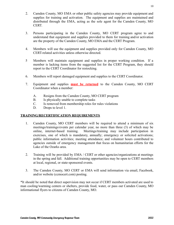- 2. Camden County, MO EMA or other public safety agencies may provide equipment and supplies for training and activation. The equipment and supplies are maintained and distributed through the EMA, acting as the sole agent for the Camden County, MO CERT.
- 3. Persons participating in the Camden County, MO CERT program agree to and understand that equipment and supplies provided to them for training and/or activation are the property of the Camden County, MO EMA and the CERT Program.
- 4. Members will use the equipment and supplies provided only for Camden County, MO CERT-related activities unless otherwise directed.
- 5 Members will maintain equipment and supplies in proper working condition. If a member is lacking items from the suggested list for the CERT Program, they should report to the CERT Coordinator for restocking.
- 6. Members will report damaged equipment and supplies to the CERT Coordinator.
- 7. Equipment and supplies **must be returned** to the Camden County, MO CERT Coordinator when a member:
	- A. Resigns from the Camden County, MO CERT program
	- B. Is physically unable to complete tasks
	- C. Is removed from membership roles for rules violations
	- D. Drops to level 1.

#### **TRAINING/RECERTIFICATION REQUIREMENTS**

- 1. Camden County, MO CERT members will be required to attend a minimum of six meetings/trainings/events per calendar year, no more than three (3) of which may be online, internet-based training. Meetings/training may include participation in exercises, one of which is mandatory, annually; emergency or solicited activations; public information activities; meeting attendance; and volunteer hours contributed to agencies outside of emergency management that focus on humanitarian efforts for the Lake of the Ozarks area.
- 2. Training will be provided by EMA / CERT or other agencies/organizations at meetings in the spring and fall. Additional training opportunities may be open to CERT members at local, regional, or state-sponsored events.
- 3. The Camden County, MO CERT or EMA will send information via email, Facebook, and/or website (ccmocert.com) posting.

\*It should be noted that direct supervision may not occur if CERT members activated are used to man cooling/warming centers or shelters, provide food, water, or pass out Camden County, MO informational flyers to citizens of Camden County, MO.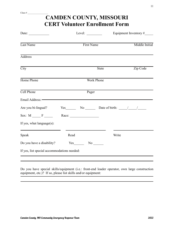| Date: $\qquad \qquad$                                                                                                                                                                                                          | Level: $\qquad \qquad$ |              | Equipment Inventory $#$ |
|--------------------------------------------------------------------------------------------------------------------------------------------------------------------------------------------------------------------------------|------------------------|--------------|-------------------------|
| Last Name                                                                                                                                                                                                                      | First Name             |              | Middle Initial          |
| <b>Address</b>                                                                                                                                                                                                                 |                        |              |                         |
| $\overline{City}$                                                                                                                                                                                                              |                        | <b>State</b> | Zip Code                |
| Home Phone                                                                                                                                                                                                                     | <b>Work Phone</b>      |              |                         |
| Cell Phone                                                                                                                                                                                                                     | Pager                  |              |                         |
| Email Address: - The Committee of the Committee of the Committee of the Committee of the Committee of the Committee of the Committee of the Committee of the Committee of the Committee of the Committee of the Committee of t |                        |              |                         |
| Are you bi-lingual? $Yes \_ No \_ Do$ Date of birth: $\_ / \_ / \_$<br>Sex: $M \_ F \_$ Race:                                                                                                                                  |                        |              |                         |
| If yes, what $language(s)$ :                                                                                                                                                                                                   |                        |              |                         |
| Speak                                                                                                                                                                                                                          | Read                   | Write        |                         |
| Do you have a disability? Yes No No No                                                                                                                                                                                         |                        |              |                         |

Do you have special skills/equipment (i.e.: front-end loader operator, own large construction equipment, etc.)? If so, please list skills and/or equipment: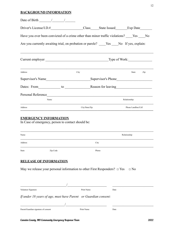#### **BACKGROUND INFORMATION**

| Date of Birth $\frac{\sqrt{2}}{2}$                                                        |  |                |              |                     |     |
|-------------------------------------------------------------------------------------------|--|----------------|--------------|---------------------|-----|
|                                                                                           |  |                |              |                     |     |
| Have you ever been convicted of a crime other than minor traffic violations? Yes No       |  |                |              |                     |     |
| Are you currently awaiting trial, on probation or parole? ____Yes ____No If yes, explain: |  |                |              |                     |     |
|                                                                                           |  |                |              |                     |     |
| Address                                                                                   |  | City           |              | State               | Zip |
|                                                                                           |  |                |              |                     |     |
| Dates: From to Reason for leaving                                                         |  |                |              |                     |     |
|                                                                                           |  |                |              |                     |     |
| Name                                                                                      |  |                | Relationship |                     |     |
| Address                                                                                   |  | City/State/Zip |              | Phone Landline/Cell |     |
| <b>EMERGENCY INFORMATION</b><br>In Case of emergency, person to contact should be:        |  |                |              |                     |     |

| Name    |          |       | Relationship |
|---------|----------|-------|--------------|
| Address |          | City  |              |
| State   | Zip Code | Phone |              |

#### **RELEASE OF INFORMATION**

May we release your personal information to other First Responders?  $\Box$  Yes  $\Box$  No

| Volunteer Signature                                             | Print Name | Date |
|-----------------------------------------------------------------|------------|------|
| If under 18 years of age, must have Parent or Guardian consent: |            |      |
|                                                                 |            |      |
| Parent/Guardian signature of consent                            | Print Name | Date |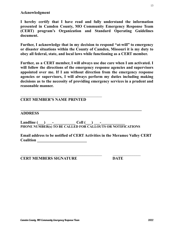#### **Acknowledgment**

**I hereby certify that I have read and fully understand the information presented in Camden County, MO Community Emergency Response Team (CERT) program's Organization and Standard Operating Guidelines document.**

**Further, I acknowledge that in my decision to respond "at-will" to emergency or disaster situations within the County of Camden, Missouri it is my duty to obey all federal, state, and local laws while functioning as a CERT member.**

**Further, as a CERT member, I will always use due care when I am activated. I will follow the directions of the emergency response agencies and supervisors appointed over me. If I am without direction from the emergency response agencies or supervisors, I will always perform my duties including making decisions as to the necessity of providing emergency services in a prudent and reasonable manner.**

#### **CERT MEMBER'S NAME PRINTED**

#### **ADDRESS**

**Landline (\_\_\_) \_\_\_-\_\_\_\_\_\_\_\_\_\_\_ Cell (\_\_\_) \_\_\_-\_\_\_\_\_\_\_\_\_\_\_\_ PHONE NUMBER(s) TO BE CALLED FOR CALLOUTS OR NOTIFICATIONS**

**\_\_\_\_\_\_\_\_\_\_\_\_\_\_\_\_\_\_\_\_\_\_\_\_\_\_\_\_\_\_\_\_\_\_\_\_\_\_\_\_\_\_\_\_\_\_\_\_\_\_\_\_\_\_\_\_\_\_\_\_\_**

**Email address to be notified of CERT Activities in the Meramec Valley CERT Coalition \_\_\_\_\_\_\_\_\_\_\_\_\_\_\_\_\_\_\_\_\_\_\_\_\_**

**CERT MEMBERS SIGNATURE DATE**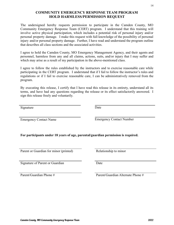#### **COMMUNITY EMERGENCY RESPONSE TEAM PROGRAM HOLD HARMLESS/PERMISSION REQUEST**

The undersigned hereby requests permission to participate in the Camden County, MO Community Emergency Response Team (CERT) program. I understand that this training will involve active physical participation, which includes a potential risk of personal injury and/or personal property damage. I make this request with full knowledge of the possibility of personal injury and/or personal property damage. Further, I have read and understand the program outline that describes all class sections and the associated activities.

I agree to hold the Camden County, MO Emergency Management Agency, and their agents and personnel, harmless from any and all claims, actions, suits, and/or injury that I may suffer and which may arise as a result of my participation in the above-mentioned class.

I agree to follow the rules established by the instructors and to exercise reasonable care while participating in the CERT program. I understand that if I fail to follow the instructor's rules and regulations or if I fail to exercise reasonable care, I can be administratively removed from the program.

By executing this release, I certify that I have read this release in its entirety, understand all its terms, and have had any questions regarding the release or its effect satisfactorily answered. I sign this release freely and voluntarily.

Signature Date

Emergency Contact Name Emergency Contact Number

**For participants under 18 years of age, parental/guardian permission is required.**

Parent or Guardian for minor (printed) Relationship to minor

Signature of Parent or Guardian Date

Parent/Guardian Phone # Parent/Guardian Alternate Phone #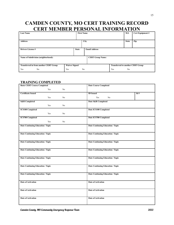### **CAMDEN COUNTY, MO CERT TRAINING RECORD CERT MEMBER PERSONAL INFORMATION**

| <b>Last Name</b>                              |                      | <b>First Name</b> |                |                         |                                          | M.I.           | Cert Equipment # |
|-----------------------------------------------|----------------------|-------------------|----------------|-------------------------|------------------------------------------|----------------|------------------|
| <b>Address</b>                                |                      |                   | <b>City</b>    |                         |                                          | <b>State</b>   | Zip              |
| <b>Drivers License#</b>                       |                      | <b>State</b>      |                | <b>Email Address</b>    |                                          |                |                  |
| Name of Subdivision (neighborhood):           |                      |                   |                | <b>CERT Group Name:</b> |                                          |                |                  |
| <b>Transferred in from another CERT Group</b> | <b>Waiver Signed</b> |                   |                |                         | <b>Transferred to another CERT Group</b> |                |                  |
| Yes<br>No                                     | Yes                  |                   | N <sub>0</sub> |                         | Yes                                      | N <sub>0</sub> |                  |

#### **TRAINING COMPLETED**

| <b>Basic CERT Course Completed</b>       | <b>Date Course Completed</b>      |
|------------------------------------------|-----------------------------------|
| Yes<br>No                                |                                   |
| <b>Certificate Issued</b>                | Id#<br><b>ID</b> Issued           |
| Yes<br>No                                | Yes<br>No                         |
| <b>S&amp;R</b> Completed                 | Date S&R Completed                |
| Yes<br>No                                |                                   |
| <b>ICS100 Completed</b>                  | Date ICS100 Completed             |
| Yes<br>No                                |                                   |
| <b>ICS700 Completed</b>                  | Date ICS700 Completed             |
| Yes<br>No                                |                                   |
| Date Continuing Education / Topic        | Date Continuing Education / Topic |
| Date Continuing Education / Topic        | Date Continuing Education / Topic |
| <b>Date Continuing Education / Topic</b> | Date Continuing Education / Topic |
| <b>Date Continuing Education / Topic</b> | Date Continuing Education / Topic |
| <b>Date Continuing Education / Topic</b> | Date Continuing Education / Topic |
| Date Continuing Education / Topic        | Date Continuing Education / Topic |
| Date Continuing Education / Topic        | Date Continuing Education / Topic |
| <b>Date of Activation</b>                | <b>Date of Activation</b>         |
| Date of Activation                       | Date of Activation                |
| <b>Date of Activation</b>                | <b>Date of Activation</b>         |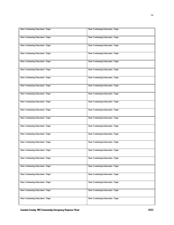| Date Continuing Education / Topic        | <b>Date Continuing Education / Topic</b> |
|------------------------------------------|------------------------------------------|
| Date Continuing Education / Topic        | Date Continuing Education / Topic        |
| Date Continuing Education / Topic        | Date Continuing Education / Topic        |
| Date Continuing Education / Topic        | <b>Date Continuing Education / Topic</b> |
| Date Continuing Education / Topic        | <b>Date Continuing Education / Topic</b> |
| Date Continuing Education / Topic        | Date Continuing Education / Topic        |
| Date Continuing Education / Topic        | Date Continuing Education / Topic        |
| Date Continuing Education / Topic        | Date Continuing Education / Topic        |
| Date Continuing Education / Topic        | <b>Date Continuing Education / Topic</b> |
| Date Continuing Education / Topic        | Date Continuing Education / Topic        |
| Date Continuing Education / Topic        | Date Continuing Education / Topic        |
| Date Continuing Education / Topic        | Date Continuing Education / Topic        |
| Date Continuing Education / Topic        | Date Continuing Education / Topic        |
| <b>Date Continuing Education / Topic</b> | Date Continuing Education / Topic        |
| Date Continuing Education / Topic        | Date Continuing Education / Topic        |
| Date Continuing Education / Topic        | Date Continuing Education / Topic        |
| Date Continuing Education / Topic        | Date Continuing Education / Topic        |
| Date Continuing Education / Topic        | Date Continuing Education / Topic        |
| Date Continuing Education / Topic        | <b>Date Continuing Education / Topic</b> |
| Date Continuing Education / Topic        | Date Continuing Education / Topic        |
| Date Continuing Education / Topic        | Date Continuing Education / Topic        |
| Date Continuing Education / Topic        | Date Continuing Education / Topic        |